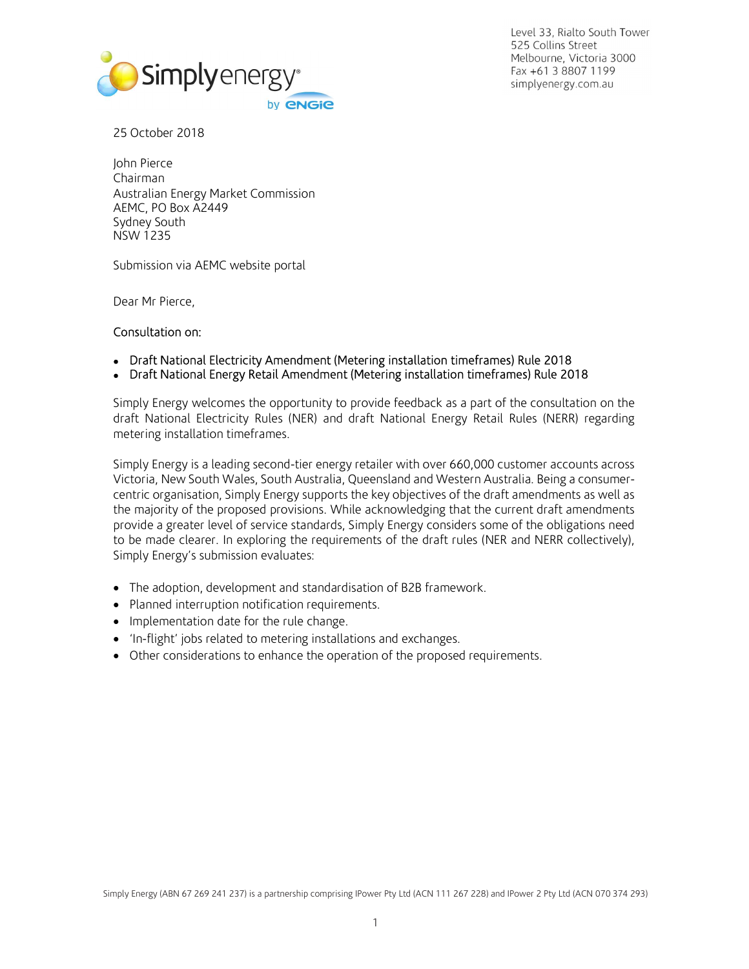

Level 33, Rialto South Tower 525 Collins Street Melbourne, Victoria 3000 Fax +61 3 8807 1199 simplyenergy.com.au

John Pierce Chairman Australian Energy Market Commission AEMC, PO Box A2449 Sydney South NSW 1235

Submission via AEMC website portal

Dear Mr Pierce,

### Consultation on:

- Draft National Electricity Amendment (Metering installation timeframes) Rule 2018
- Draft National Energy Retail Amendment (Metering installation timeframes) Rule 2018

Simply Energy welcomes the opportunity to provide feedback as a part of the consultation on the draft National Electricity Rules (NER) and draft National Energy Retail Rules (NERR) regarding metering installation timeframes.

Simply Energy is a leading second-tier energy retailer with over 660,000 customer accounts across Victoria, New South Wales, South Australia, Queensland and Western Australia. Being a consumercentric organisation, Simply Energy supports the key objectives of the draft amendments as well as the majority of the proposed provisions. While acknowledging that the current draft amendments provide a greater level of service standards, Simply Energy considers some of the obligations need to be made clearer. In exploring the requirements of the draft rules (NER and NERR collectively), Simply Energy's submission evaluates:

- The adoption, development and standardisation of B2B framework.
- Planned interruption notification requirements.
- Implementation date for the rule change.
- 'In-flight' jobs related to metering installations and exchanges.
- Other considerations to enhance the operation of the proposed requirements.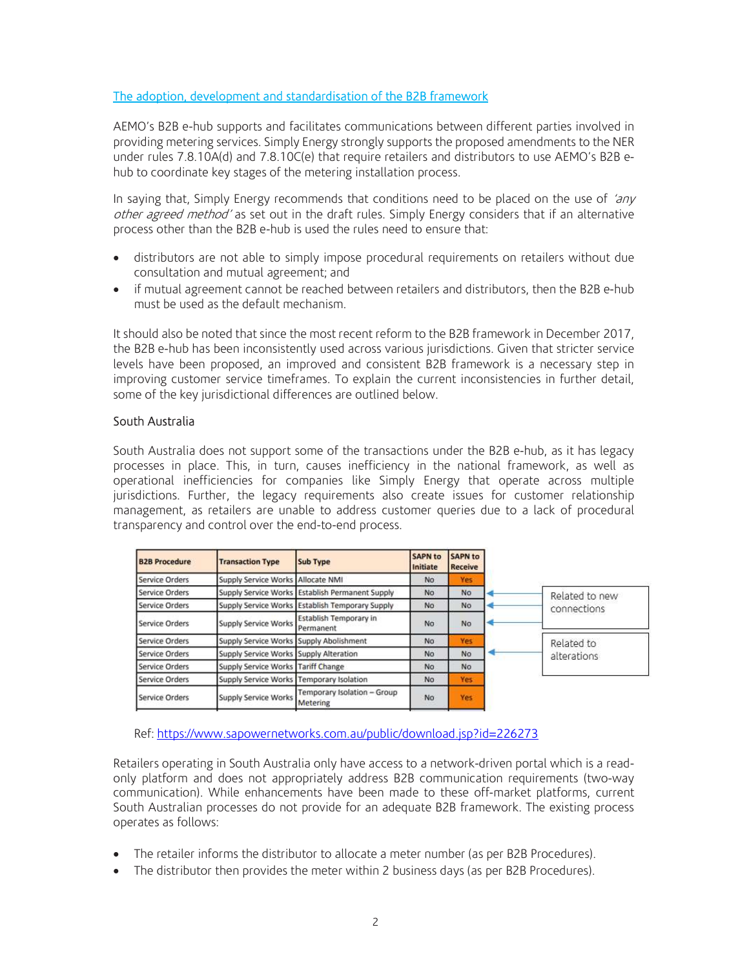## The adoption, development and standardisation of the B2B framework

AEMO's B2B e-hub supports and facilitates communications between different parties involved in providing metering services. Simply Energy strongly supports the proposed amendments to the NER under rules 7.8.10A(d) and 7.8.10C(e) that require retailers and distributors to use AEMO's B2B ehub to coordinate key stages of the metering installation process.

In saying that, Simply Energy recommends that conditions need to be placed on the use of 'any other agreed method' as set out in the draft rules. Simply Energy considers that if an alternative process other than the B2B e-hub is used the rules need to ensure that:

- distributors are not able to simply impose procedural requirements on retailers without due consultation and mutual agreement; and
- if mutual agreement cannot be reached between retailers and distributors, then the B2B e-hub must be used as the default mechanism.

It should also be noted that since the most recent reform to the B2B framework in December 2017, the B2B e-hub has been inconsistently used across various jurisdictions. Given that stricter service levels have been proposed, an improved and consistent B2B framework is a necessary step in improving customer service timeframes. To explain the current inconsistencies in further detail, some of the key jurisdictional differences are outlined below.

### South Australia

South Australia does not support some of the transactions under the B2B e-hub, as it has legacy processes in place. This, in turn, causes inefficiency in the national framework, as well as operational inefficiencies for companies like Simply Energy that operate across multiple jurisdictions. Further, the legacy requirements also create issues for customer relationship management, as retailers are unable to address customer queries due to a lack of procedural transparency and control over the end-to-end process.

| <b>B2B Procedure</b>  | <b>Transaction Type</b>                  | <b>Sub Type</b>                                 | <b>SAPN to</b><br>Initiate | <b>SAPN to</b><br><b>Receive</b> |             |                               |  |
|-----------------------|------------------------------------------|-------------------------------------------------|----------------------------|----------------------------------|-------------|-------------------------------|--|
| <b>Service Orders</b> | Supply Service Works   Allocate NMI      |                                                 | N <sub>O</sub>             | Yes                              |             |                               |  |
| <b>Service Orders</b> |                                          | Supply Service Works Establish Permanent Supply | No                         | No                               |             | Related to new<br>connections |  |
| Service Orders        |                                          | Supply Service Works Establish Temporary Supply | No.                        | No                               |             |                               |  |
| <b>Service Orders</b> | <b>Supply Service Works</b>              | Establish Temporary in<br>Permanent             | No.                        | No                               |             |                               |  |
| Service Orders        | Supply Service Works Supply Abolishment  |                                                 | No                         | Yes                              |             | Related to                    |  |
| Service Orders        | Supply Service Works Supply Alteration   |                                                 | No                         | No                               | alterations |                               |  |
| Service Orders        | Supply Service Works Tariff Change       |                                                 | No                         | No                               |             |                               |  |
| Service Orders        | Supply Service Works Temporary Isolation |                                                 | No                         | <b>Yes</b>                       |             |                               |  |
| Service Orders        | <b>Supply Service Works</b>              | Temporary Isolation - Group<br>Metering         | No                         | Yes                              |             |                               |  |

Ref: https://www.sapowernetworks.com.au/public/download.jsp?id=226273

Retailers operating in South Australia only have access to a network-driven portal which is a readonly platform and does not appropriately address B2B communication requirements (two-way communication). While enhancements have been made to these off-market platforms, current South Australian processes do not provide for an adequate B2B framework. The existing process operates as follows:

- The retailer informs the distributor to allocate a meter number (as per B2B Procedures).
- The distributor then provides the meter within 2 business days (as per B2B Procedures).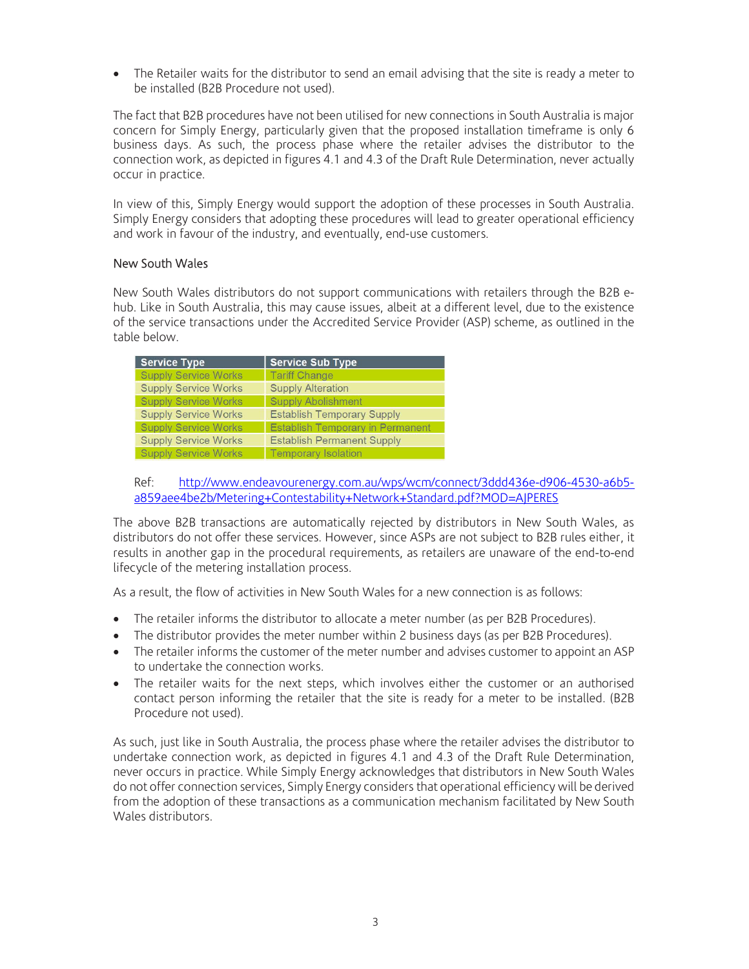• The Retailer waits for the distributor to send an email advising that the site is ready a meter to be installed (B2B Procedure not used).

The fact that B2B procedures have not been utilised for new connections in South Australia is major concern for Simply Energy, particularly given that the proposed installation timeframe is only 6 business days. As such, the process phase where the retailer advises the distributor to the connection work, as depicted in figures 4.1 and 4.3 of the Draft Rule Determination, never actually occur in practice.

In view of this, Simply Energy would support the adoption of these processes in South Australia. Simply Energy considers that adopting these procedures will lead to greater operational efficiency and work in favour of the industry, and eventually, end-use customers.

## New South Wales

New South Wales distributors do not support communications with retailers through the B2B ehub. Like in South Australia, this may cause issues, albeit at a different level, due to the existence of the service transactions under the Accredited Service Provider (ASP) scheme, as outlined in the table below.

| <b>Service Type</b>         | <b>Service Sub Type</b>                 |
|-----------------------------|-----------------------------------------|
| <b>Supply Service Works</b> | <b>Tariff Change</b>                    |
| <b>Supply Service Works</b> | <b>Supply Alteration</b>                |
| <b>Supply Service Works</b> | <b>Supply Abolishment</b>               |
| <b>Supply Service Works</b> | <b>Establish Temporary Supply</b>       |
| <b>Supply Service Works</b> | <b>Establish Temporary in Permanent</b> |
| <b>Supply Service Works</b> | <b>Establish Permanent Supply</b>       |
| <b>Supply Service Works</b> | <b>Temporary Isolation</b>              |

Ref: http://www.endeavourenergy.com.au/wps/wcm/connect/3ddd436e-d906-4530-a6b5 a859aee4be2b/Metering+Contestability+Network+Standard.pdf?MOD=AJPERES

The above B2B transactions are automatically rejected by distributors in New South Wales, as distributors do not offer these services. However, since ASPs are not subject to B2B rules either, it results in another gap in the procedural requirements, as retailers are unaware of the end-to-end lifecycle of the metering installation process.

As a result, the flow of activities in New South Wales for a new connection is as follows:

- The retailer informs the distributor to allocate a meter number (as per B2B Procedures).
- The distributor provides the meter number within 2 business days (as per B2B Procedures).
- The retailer informs the customer of the meter number and advises customer to appoint an ASP to undertake the connection works.
- The retailer waits for the next steps, which involves either the customer or an authorised contact person informing the retailer that the site is ready for a meter to be installed. (B2B Procedure not used).

As such, just like in South Australia, the process phase where the retailer advises the distributor to undertake connection work, as depicted in figures 4.1 and 4.3 of the Draft Rule Determination, never occurs in practice. While Simply Energy acknowledges that distributors in New South Wales do not offer connection services, Simply Energy considers that operational efficiency will be derived from the adoption of these transactions as a communication mechanism facilitated by New South Wales distributors.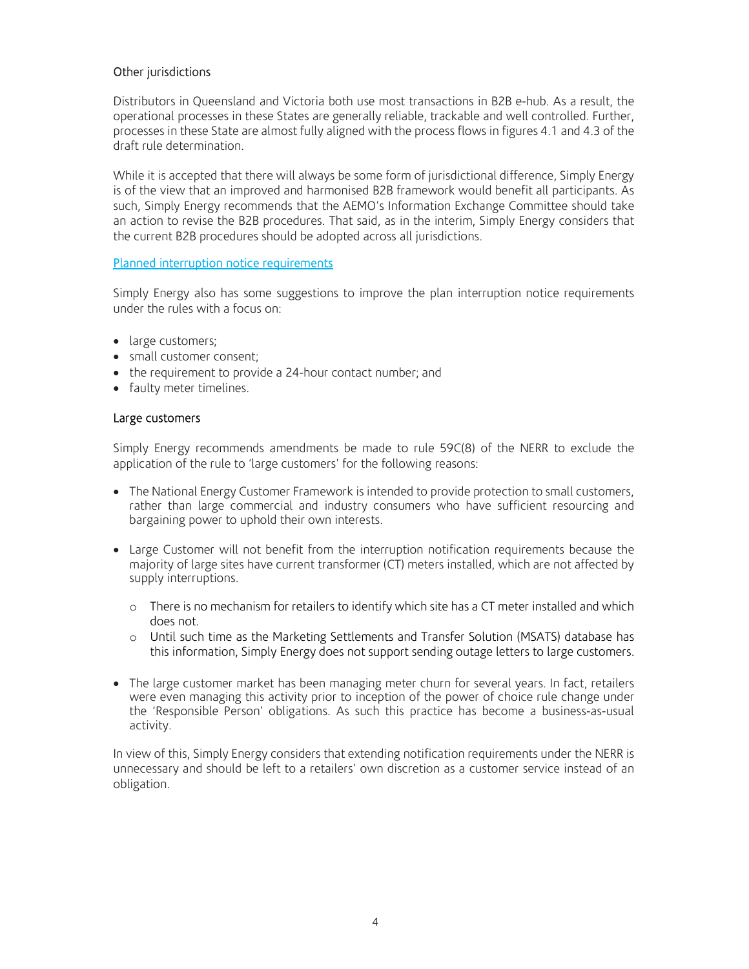# Other jurisdictions

Distributors in Queensland and Victoria both use most transactions in B2B e-hub. As a result, the operational processes in these States are generally reliable, trackable and well controlled. Further, processes in these State are almost fully aligned with the process flows in figures 4.1 and 4.3 of the draft rule determination.

While it is accepted that there will always be some form of jurisdictional difference, Simply Energy is of the view that an improved and harmonised B2B framework would benefit all participants. As such, Simply Energy recommends that the AEMO's Information Exchange Committee should take an action to revise the B2B procedures. That said, as in the interim, Simply Energy considers that the current B2B procedures should be adopted across all jurisdictions.

### Planned interruption notice requirements

Simply Energy also has some suggestions to improve the plan interruption notice requirements under the rules with a focus on:

- large customers;
- small customer consent;
- the requirement to provide a 24-hour contact number; and
- faulty meter timelines.

### Large customers

Simply Energy recommends amendments be made to rule 59C(8) of the NERR to exclude the application of the rule to 'large customers' for the following reasons:

- The National Energy Customer Framework is intended to provide protection to small customers, rather than large commercial and industry consumers who have sufficient resourcing and bargaining power to uphold their own interests.
- Large Customer will not benefit from the interruption notification requirements because the majority of large sites have current transformer (CT) meters installed, which are not affected by supply interruptions.
	- $\circ$  There is no mechanism for retailers to identify which site has a CT meter installed and which does not.
	- o Until such time as the Marketing Settlements and Transfer Solution (MSATS) database has this information, Simply Energy does not support sending outage letters to large customers.
- The large customer market has been managing meter churn for several years. In fact, retailers were even managing this activity prior to inception of the power of choice rule change under the 'Responsible Person' obligations. As such this practice has become a business-as-usual activity.

In view of this, Simply Energy considers that extending notification requirements under the NERR is unnecessary and should be left to a retailers' own discretion as a customer service instead of an obligation.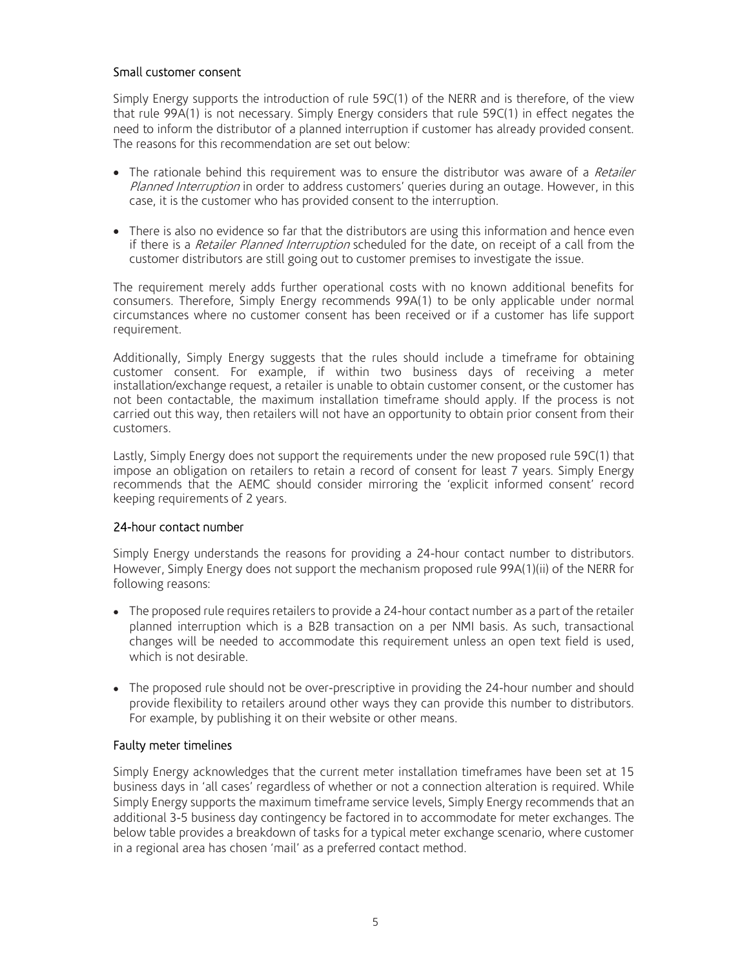## Small customer consent

Simply Energy supports the introduction of rule 59C(1) of the NERR and is therefore, of the view that rule 99A(1) is not necessary. Simply Energy considers that rule 59C(1) in effect negates the need to inform the distributor of a planned interruption if customer has already provided consent. The reasons for this recommendation are set out below:

- The rationale behind this requirement was to ensure the distributor was aware of a *Retailer* Planned Interruption in order to address customers' queries during an outage. However, in this case, it is the customer who has provided consent to the interruption.
- There is also no evidence so far that the distributors are using this information and hence even if there is a *Retailer Planned Interruption* scheduled for the date, on receipt of a call from the customer distributors are still going out to customer premises to investigate the issue.

The requirement merely adds further operational costs with no known additional benefits for consumers. Therefore, Simply Energy recommends 99A(1) to be only applicable under normal circumstances where no customer consent has been received or if a customer has life support requirement.

Additionally, Simply Energy suggests that the rules should include a timeframe for obtaining customer consent. For example, if within two business days of receiving a meter installation/exchange request, a retailer is unable to obtain customer consent, or the customer has not been contactable, the maximum installation timeframe should apply. If the process is not carried out this way, then retailers will not have an opportunity to obtain prior consent from their customers.

Lastly, Simply Energy does not support the requirements under the new proposed rule 59C(1) that impose an obligation on retailers to retain a record of consent for least 7 years. Simply Energy recommends that the AEMC should consider mirroring the 'explicit informed consent' record keeping requirements of 2 years.

### 24-hour contact number

Simply Energy understands the reasons for providing a 24-hour contact number to distributors. However, Simply Energy does not support the mechanism proposed rule 99A(1)(ii) of the NERR for following reasons:

- The proposed rule requires retailers to provide a 24-hour contact number as a part of the retailer planned interruption which is a B2B transaction on a per NMI basis. As such, transactional changes will be needed to accommodate this requirement unless an open text field is used, which is not desirable.
- The proposed rule should not be over-prescriptive in providing the 24-hour number and should provide flexibility to retailers around other ways they can provide this number to distributors. For example, by publishing it on their website or other means.

### Faulty meter timelines

Simply Energy acknowledges that the current meter installation timeframes have been set at 15 business days in 'all cases' regardless of whether or not a connection alteration is required. While Simply Energy supports the maximum timeframe service levels, Simply Energy recommends that an additional 3-5 business day contingency be factored in to accommodate for meter exchanges. The below table provides a breakdown of tasks for a typical meter exchange scenario, where customer in a regional area has chosen 'mail' as a preferred contact method.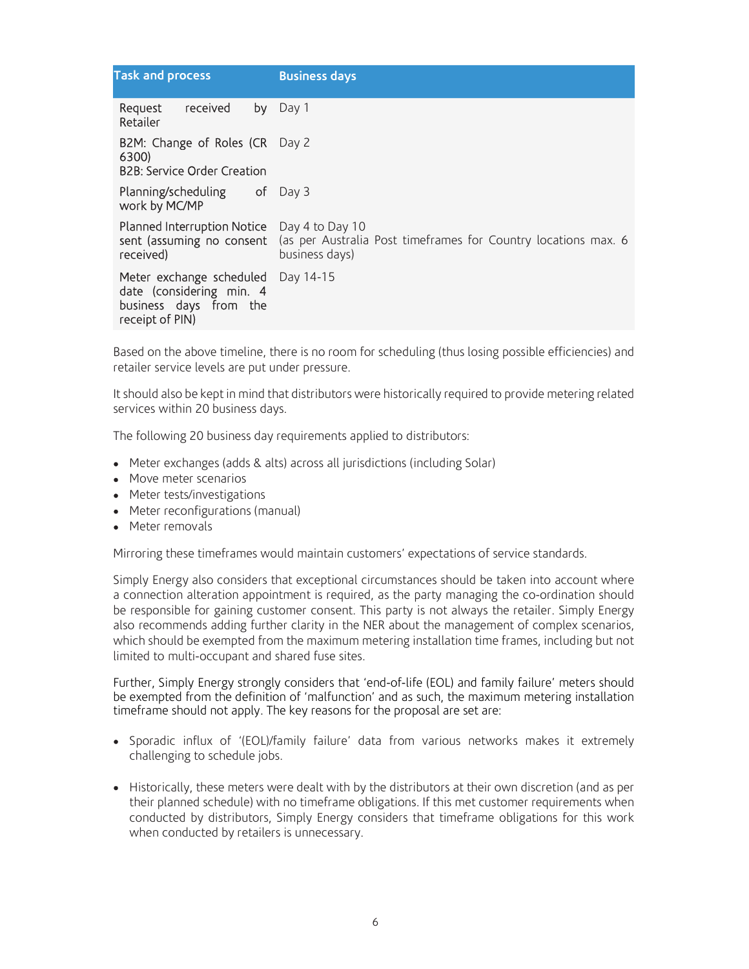| <b>Task and process</b>                                                                           | <b>Business days</b>                                                                                |  |  |  |  |
|---------------------------------------------------------------------------------------------------|-----------------------------------------------------------------------------------------------------|--|--|--|--|
| received<br>Request<br>by<br>Retailer                                                             | Day 1                                                                                               |  |  |  |  |
| B2M: Change of Roles (CR Day 2<br>6300)<br><b>B2B: Service Order Creation</b>                     |                                                                                                     |  |  |  |  |
|                                                                                                   |                                                                                                     |  |  |  |  |
| <b>Planning/scheduling</b> of Day 3<br>work by MC/MP                                              |                                                                                                     |  |  |  |  |
| Planned Interruption Notice<br>sent (assuming no consent<br>received)                             | Day 4 to Day 10<br>(as per Australia Post timeframes for Country locations max. 6<br>business days) |  |  |  |  |
| Meter exchange scheduled<br>date (considering min. 4<br>business days from the<br>receipt of PIN) | Day 14-15                                                                                           |  |  |  |  |

Based on the above timeline, there is no room for scheduling (thus losing possible efficiencies) and retailer service levels are put under pressure.

It should also be kept in mind that distributors were historically required to provide metering related services within 20 business days.

The following 20 business day requirements applied to distributors:

- Meter exchanges (adds & alts) across all jurisdictions (including Solar)
- Move meter scenarios
- Meter tests/investigations
- Meter reconfigurations (manual)
- Meter removals

Mirroring these timeframes would maintain customers' expectations of service standards.

Simply Energy also considers that exceptional circumstances should be taken into account where a connection alteration appointment is required, as the party managing the co-ordination should be responsible for gaining customer consent. This party is not always the retailer. Simply Energy also recommends adding further clarity in the NER about the management of complex scenarios, which should be exempted from the maximum metering installation time frames, including but not limited to multi-occupant and shared fuse sites.

Further, Simply Energy strongly considers that 'end-of-life (EOL) and family failure' meters should be exempted from the definition of 'malfunction' and as such, the maximum metering installation timeframe should not apply. The key reasons for the proposal are set are:

- Sporadic influx of '(EOL)/family failure' data from various networks makes it extremely challenging to schedule jobs.
- Historically, these meters were dealt with by the distributors at their own discretion (and as per their planned schedule) with no timeframe obligations. If this met customer requirements when conducted by distributors, Simply Energy considers that timeframe obligations for this work when conducted by retailers is unnecessary.